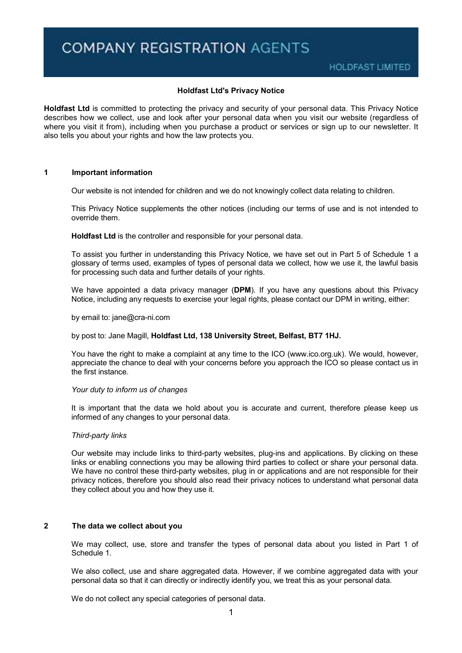## **Holdfast Ltd's Privacy Notice**

**Holdfast Ltd** is committed to protecting the privacy and security of your personal data. This Privacy Notice describes how we collect, use and look after your personal data when you visit our website (regardless of where you visit it from), including when you purchase a product or services or sign up to our newsletter. It also tells you about your rights and how the law protects you.

## **1 Important information**

Our website is not intended for children and we do not knowingly collect data relating to children.

This Privacy Notice supplements the other notices (including our terms of use and is not intended to override them.

**Holdfast Ltd** is the controller and responsible for your personal data.

To assist you further in understanding this Privacy Notice, we have set out in Part 5 of Schedule 1 a glossary of terms used, examples of types of personal data we collect, how we use it, the lawful basis for processing such data and further details of your rights.

We have appointed a data privacy manager (**DPM**). If you have any questions about this Privacy Notice, including any requests to exercise your legal rights, please contact our DPM in writing, either:

by email to: jane@cra-ni.com

by post to: Jane Magill, **Holdfast Ltd, 138 University Street, Belfast, BT7 1HJ.**

You have the right to make a complaint at any time to the ICO (www.ico.org.uk). We would, however, appreciate the chance to deal with your concerns before you approach the ICO so please contact us in the first instance.

#### *Your duty to inform us of changes*

It is important that the data we hold about you is accurate and current, therefore please keep us informed of any changes to your personal data.

#### *Third-party links*

Our website may include links to third-party websites, plug-ins and applications. By clicking on these links or enabling connections you may be allowing third parties to collect or share your personal data. We have no control these third-party websites, plug in or applications and are not responsible for their privacy notices, therefore you should also read their privacy notices to understand what personal data they collect about you and how they use it.

# **2 The data we collect about you**

We may collect, use, store and transfer the types of personal data about you listed in Part 1 of Schedule 1.

We also collect, use and share aggregated data. However, if we combine aggregated data with your personal data so that it can directly or indirectly identify you, we treat this as your personal data.

We do not collect any special categories of personal data.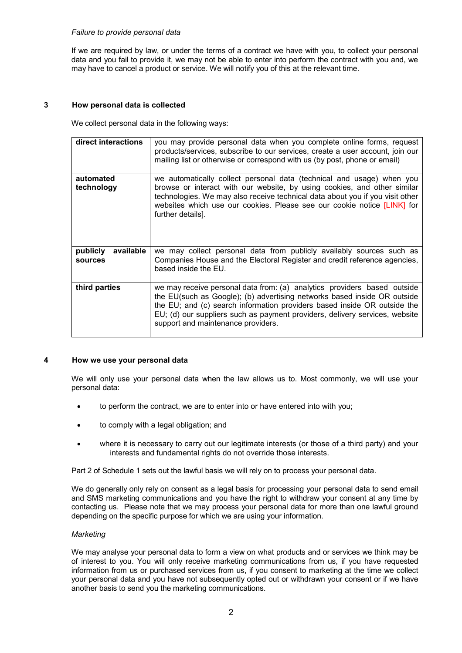# *Failure to provide personal data*

If we are required by law, or under the terms of a contract we have with you, to collect your personal data and you fail to provide it, we may not be able to enter into perform the contract with you and, we may have to cancel a product or service. We will notify you of this at the relevant time.

# **3 How personal data is collected**

We collect personal data in the following ways:

| direct interactions              | you may provide personal data when you complete online forms, request<br>products/services, subscribe to our services, create a user account, join our<br>mailing list or otherwise or correspond with us (by post, phone or email)                                                                                                                   |
|----------------------------------|-------------------------------------------------------------------------------------------------------------------------------------------------------------------------------------------------------------------------------------------------------------------------------------------------------------------------------------------------------|
| automated<br>technology          | we automatically collect personal data (technical and usage) when you<br>browse or interact with our website, by using cookies, and other similar<br>technologies. We may also receive technical data about you if you visit other<br>websites which use our cookies. Please see our cookie notice [LINK] for<br>further details].                    |
| publicly<br>available<br>sources | we may collect personal data from publicly availably sources such as<br>Companies House and the Electoral Register and credit reference agencies,<br>based inside the EU.                                                                                                                                                                             |
| third parties                    | we may receive personal data from: (a) analytics providers based outside<br>the EU(such as Google); (b) advertising networks based inside OR outside<br>the EU; and (c) search information providers based inside OR outside the<br>EU; (d) our suppliers such as payment providers, delivery services, website<br>support and maintenance providers. |

# **4 How we use your personal data**

We will only use your personal data when the law allows us to. Most commonly, we will use your personal data:

- to perform the contract, we are to enter into or have entered into with you;
- to comply with a legal obligation; and
- where it is necessary to carry out our legitimate interests (or those of a third party) and your interests and fundamental rights do not override those interests.

Part 2 of Schedule 1 sets out the lawful basis we will rely on to process your personal data.

We do generally only rely on consent as a legal basis for processing your personal data to send email and SMS marketing communications and you have the right to withdraw your consent at any time by contacting us. Please note that we may process your personal data for more than one lawful ground depending on the specific purpose for which we are using your information.

## *Marketing*

We may analyse your personal data to form a view on what products and or services we think may be of interest to you. You will only receive marketing communications from us, if you have requested information from us or purchased services from us, if you consent to marketing at the time we collect your personal data and you have not subsequently opted out or withdrawn your consent or if we have another basis to send you the marketing communications.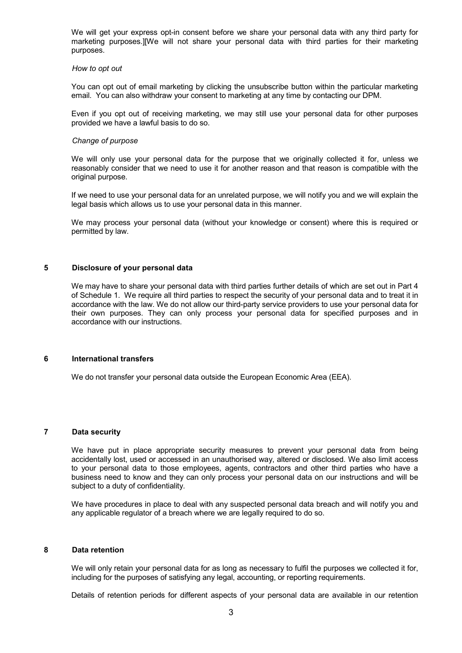We will get your express opt-in consent before we share your personal data with any third party for marketing purposes.][We will not share your personal data with third parties for their marketing purposes.

#### *How to opt out*

You can opt out of email marketing by clicking the unsubscribe button within the particular marketing email. You can also withdraw your consent to marketing at any time by contacting our DPM.

Even if you opt out of receiving marketing, we may still use your personal data for other purposes provided we have a lawful basis to do so.

#### *Change of purpose*

We will only use your personal data for the purpose that we originally collected it for, unless we reasonably consider that we need to use it for another reason and that reason is compatible with the original purpose.

If we need to use your personal data for an unrelated purpose, we will notify you and we will explain the legal basis which allows us to use your personal data in this manner.

We may process your personal data (without your knowledge or consent) where this is required or permitted by law.

# **5 Disclosure of your personal data**

We may have to share your personal data with third parties further details of which are set out in Part 4 of Schedule 1. We require all third parties to respect the security of your personal data and to treat it in accordance with the law. We do not allow our third-party service providers to use your personal data for their own purposes. They can only process your personal data for specified purposes and in accordance with our instructions.

#### **6 International transfers**

We do not transfer your personal data outside the European Economic Area (EEA).

### **7 Data security**

We have put in place appropriate security measures to prevent your personal data from being accidentally lost, used or accessed in an unauthorised way, altered or disclosed. We also limit access to your personal data to those employees, agents, contractors and other third parties who have a business need to know and they can only process your personal data on our instructions and will be subject to a duty of confidentiality.

We have procedures in place to deal with any suspected personal data breach and will notify you and any applicable regulator of a breach where we are legally required to do so.

# **8 Data retention**

We will only retain your personal data for as long as necessary to fulfil the purposes we collected it for, including for the purposes of satisfying any legal, accounting, or reporting requirements.

Details of retention periods for different aspects of your personal data are available in our retention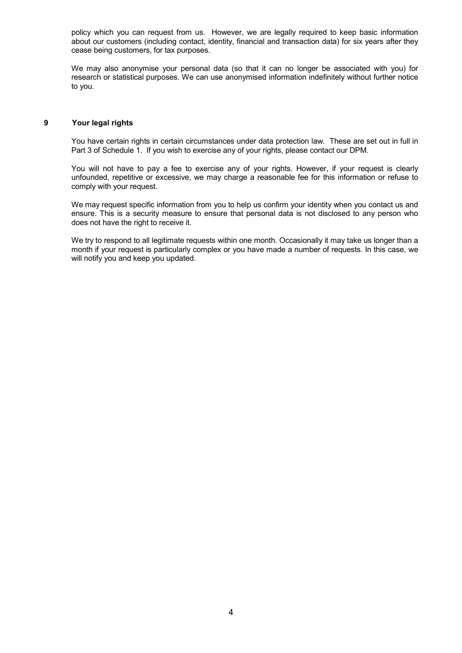policy which you can request from us. However, we are legally required to keep basic information about our customers (including contact, identity, financial and transaction data) for six years after they cease being customers, for tax purposes.

We may also anonymise your personal data (so that it can no longer be associated with you) for research or statistical purposes. We can use anonymised information indefinitely without further notice to you.

# **9 Your legal rights**

You have certain rights in certain circumstances under data protection law. These are set out in full in Part 3 of Schedule 1. If you wish to exercise any of your rights, please contact our DPM.

You will not have to pay a fee to exercise any of your rights. However, if your request is clearly unfounded, repetitive or excessive, we may charge a reasonable fee for this information or refuse to comply with your request.

We may request specific information from you to help us confirm your identity when you contact us and ensure. This is a security measure to ensure that personal data is not disclosed to any person who does not have the right to receive it.

We try to respond to all legitimate requests within one month. Occasionally it may take us longer than a month if your request is particularly complex or you have made a number of requests. In this case, we will notify you and keep you updated.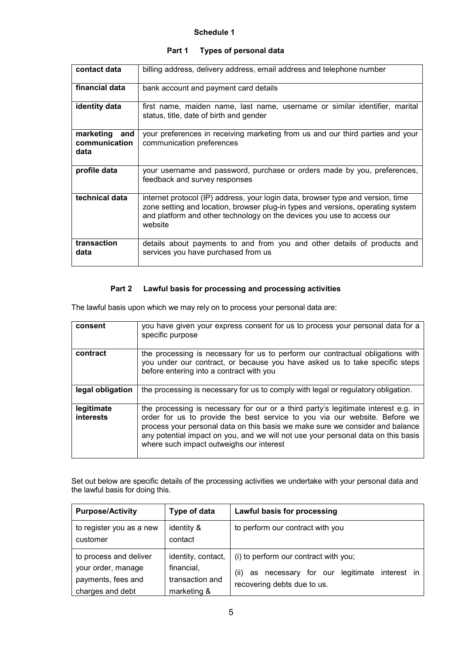# **Schedule 1**

| contact data                              | billing address, delivery address, email address and telephone number                                                                                                                                                                                   |
|-------------------------------------------|---------------------------------------------------------------------------------------------------------------------------------------------------------------------------------------------------------------------------------------------------------|
| financial data                            | bank account and payment card details                                                                                                                                                                                                                   |
| identity data                             | first name, maiden name, last name, username or similar identifier, marital<br>status, title, date of birth and gender                                                                                                                                  |
| marketing<br>and<br>communication<br>data | your preferences in receiving marketing from us and our third parties and your<br>communication preferences                                                                                                                                             |
| profile data                              | your username and password, purchase or orders made by you, preferences,<br>feedback and survey responses                                                                                                                                               |
| technical data                            | internet protocol (IP) address, your login data, browser type and version, time<br>zone setting and location, browser plug-in types and versions, operating system<br>and platform and other technology on the devices you use to access our<br>website |
| transaction<br>data                       | details about payments to and from you and other details of products and<br>services you have purchased from us                                                                                                                                         |

# **Part 1 Types of personal data**

# **Part 2 Lawful basis for processing and processing activities**

The lawful basis upon which we may rely on to process your personal data are:

| consent                        | you have given your express consent for us to process your personal data for a<br>specific purpose                                                                                                                                                                                                                                                                                 |
|--------------------------------|------------------------------------------------------------------------------------------------------------------------------------------------------------------------------------------------------------------------------------------------------------------------------------------------------------------------------------------------------------------------------------|
| contract                       | the processing is necessary for us to perform our contractual obligations with<br>you under our contract, or because you have asked us to take specific steps<br>before entering into a contract with you                                                                                                                                                                          |
| legal obligation               | the processing is necessary for us to comply with legal or regulatory obligation.                                                                                                                                                                                                                                                                                                  |
| legitimate<br><i>interests</i> | the processing is necessary for our or a third party's legitimate interest e.g. in<br>order for us to provide the best service to you via our website. Before we<br>process your personal data on this basis we make sure we consider and balance<br>any potential impact on you, and we will not use your personal data on this basis<br>where such impact outweighs our interest |

Set out below are specific details of the processing activities we undertake with your personal data and the lawful basis for doing this.

| <b>Purpose/Activity</b>                                                                | Type of data                                                       | Lawful basis for processing                                                                                                          |
|----------------------------------------------------------------------------------------|--------------------------------------------------------------------|--------------------------------------------------------------------------------------------------------------------------------------|
| to register you as a new<br>customer                                                   | identity &<br>contact                                              | to perform our contract with you                                                                                                     |
| to process and deliver<br>your order, manage<br>payments, fees and<br>charges and debt | identity, contact,<br>financial,<br>transaction and<br>marketing & | (i) to perform our contract with you;<br>necessary for our<br>legitimate<br>interest in<br>(ii)<br>as<br>recovering debts due to us. |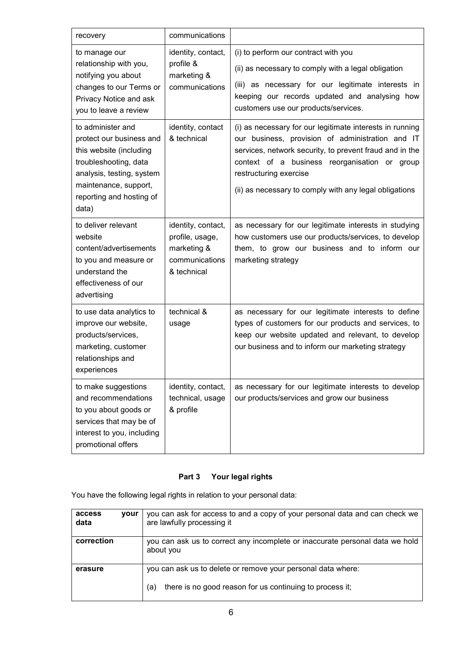| recovery                                                                                                                                                                                     | communications                                                                        |                                                                                                                                                                                                                                                                                                              |
|----------------------------------------------------------------------------------------------------------------------------------------------------------------------------------------------|---------------------------------------------------------------------------------------|--------------------------------------------------------------------------------------------------------------------------------------------------------------------------------------------------------------------------------------------------------------------------------------------------------------|
| to manage our<br>relationship with you,<br>notifying you about<br>changes to our Terms or<br>Privacy Notice and ask<br>you to leave a review                                                 | identity, contact,<br>profile &<br>marketing &<br>communications                      | (i) to perform our contract with you<br>(ii) as necessary to comply with a legal obligation<br>(iii) as necessary for our legitimate interests in<br>keeping our records updated and analysing how<br>customers use our products/services.                                                                   |
| to administer and<br>protect our business and<br>this website (including<br>troubleshooting, data<br>analysis, testing, system<br>maintenance, support,<br>reporting and hosting of<br>data) | identity, contact<br>& technical                                                      | (i) as necessary for our legitimate interests in running<br>our business, provision of administration and IT<br>services, network security, to prevent fraud and in the<br>context of a business reorganisation or group<br>restructuring exercise<br>(ii) as necessary to comply with any legal obligations |
| to deliver relevant<br>website<br>content/advertisements<br>to you and measure or<br>understand the<br>effectiveness of our<br>advertising                                                   | identity, contact,<br>profile, usage,<br>marketing &<br>communications<br>& technical | as necessary for our legitimate interests in studying<br>how customers use our products/services, to develop<br>them, to grow our business and to inform our<br>marketing strategy                                                                                                                           |
| to use data analytics to<br>improve our website,<br>products/services,<br>marketing, customer<br>relationships and<br>experiences                                                            | technical &<br>usage                                                                  | as necessary for our legitimate interests to define<br>types of customers for our products and services, to<br>keep our website updated and relevant, to develop<br>our business and to inform our marketing strategy                                                                                        |
| to make suggestions<br>and recommendations<br>to you about goods or<br>services that may be of<br>interest to you, including<br>promotional offers                                           | identity, contact,<br>technical, usage<br>& profile                                   | as necessary for our legitimate interests to develop<br>our products/services and grow our business                                                                                                                                                                                                          |

# **Part 3 Your legal rights**

You have the following legal rights in relation to your personal data:

| access<br>data | vour | you can ask for access to and a copy of your personal data and can check we<br>are lawfully processing it                       |
|----------------|------|---------------------------------------------------------------------------------------------------------------------------------|
| correction     |      | you can ask us to correct any incomplete or inaccurate personal data we hold<br>about you                                       |
| erasure        |      | you can ask us to delete or remove your personal data where:<br>there is no good reason for us continuing to process it;<br>(a) |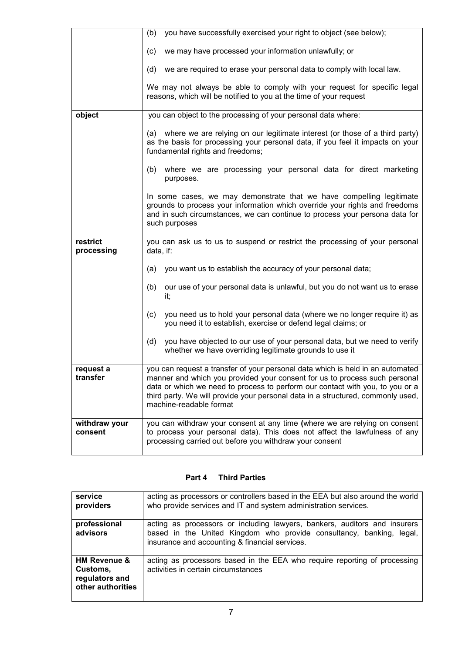|                          | (b) you have successfully exercised your right to object (see below);                                                                                                                                                                                                                                                                                       |
|--------------------------|-------------------------------------------------------------------------------------------------------------------------------------------------------------------------------------------------------------------------------------------------------------------------------------------------------------------------------------------------------------|
|                          | (c) we may have processed your information unlawfully; or                                                                                                                                                                                                                                                                                                   |
|                          | (d) we are required to erase your personal data to comply with local law.                                                                                                                                                                                                                                                                                   |
|                          | We may not always be able to comply with your request for specific legal<br>reasons, which will be notified to you at the time of your request                                                                                                                                                                                                              |
| object                   | you can object to the processing of your personal data where:                                                                                                                                                                                                                                                                                               |
|                          | (a) where we are relying on our legitimate interest (or those of a third party)<br>as the basis for processing your personal data, if you feel it impacts on your<br>fundamental rights and freedoms;                                                                                                                                                       |
|                          | (b) where we are processing your personal data for direct marketing<br>purposes.                                                                                                                                                                                                                                                                            |
|                          | In some cases, we may demonstrate that we have compelling legitimate<br>grounds to process your information which override your rights and freedoms<br>and in such circumstances, we can continue to process your persona data for<br>such purposes                                                                                                         |
| restrict<br>processing   | you can ask us to us to suspend or restrict the processing of your personal<br>data, if:                                                                                                                                                                                                                                                                    |
|                          | you want us to establish the accuracy of your personal data;<br>(a)                                                                                                                                                                                                                                                                                         |
|                          | our use of your personal data is unlawful, but you do not want us to erase<br>(b)<br>it,                                                                                                                                                                                                                                                                    |
|                          | you need us to hold your personal data (where we no longer require it) as<br>(c)<br>you need it to establish, exercise or defend legal claims; or                                                                                                                                                                                                           |
|                          | you have objected to our use of your personal data, but we need to verify<br>(d)<br>whether we have overriding legitimate grounds to use it                                                                                                                                                                                                                 |
| request a<br>transfer    | you can request a transfer of your personal data which is held in an automated<br>manner and which you provided your consent for us to process such personal<br>data or which we need to process to perform our contact with you, to you or a<br>third party. We will provide your personal data in a structured, commonly used,<br>machine-readable format |
| withdraw your<br>consent | you can withdraw your consent at any time (where we are relying on consent<br>to process your personal data). This does not affect the lawfulness of any<br>processing carried out before you withdraw your consent                                                                                                                                         |

# **Part 4 Third Parties**

| service<br>providers                                                       | acting as processors or controllers based in the EEA but also around the world<br>who provide services and IT and system administration services.                                                   |
|----------------------------------------------------------------------------|-----------------------------------------------------------------------------------------------------------------------------------------------------------------------------------------------------|
| professional<br>advisors                                                   | acting as processors or including lawyers, bankers, auditors and insurers<br>based in the United Kingdom who provide consultancy, banking, legal,<br>insurance and accounting & financial services. |
| <b>HM Revenue &amp;</b><br>Customs,<br>regulators and<br>other authorities | acting as processors based in the EEA who require reporting of processing<br>activities in certain circumstances                                                                                    |